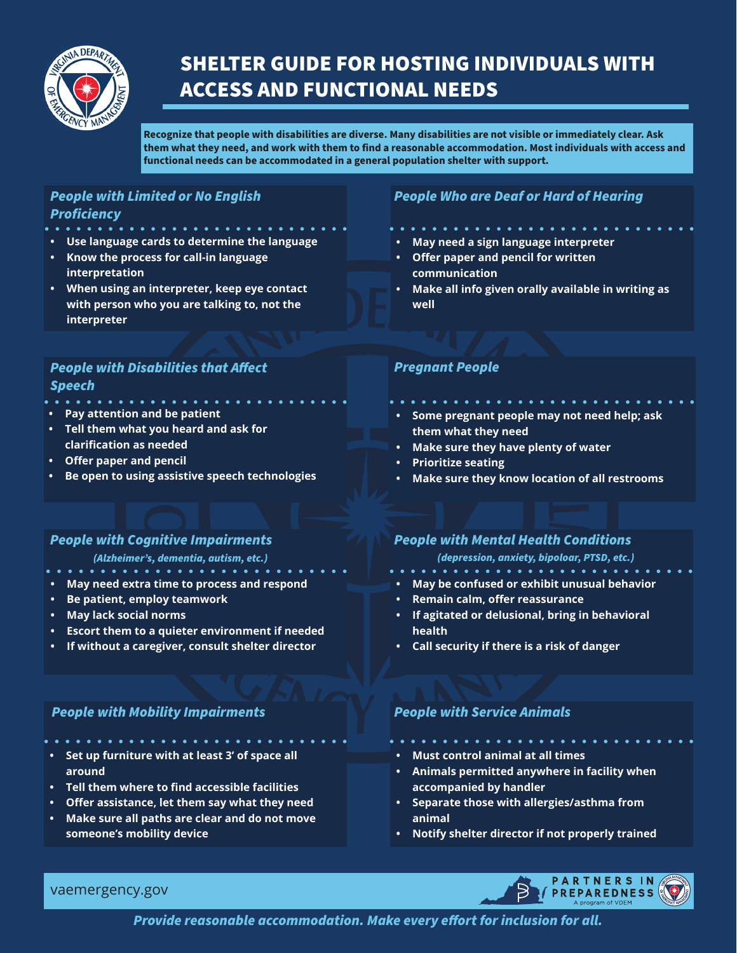

# SHELTER GUIDE FOR HOSTING INDIVIDUALS WITH ACCESS AND FUNCTIONAL NEEDS

**Recognize that people with disabilities are diverse. Many disabilities are not visible or immediately clear. Ask them what they need, and work with them to find a reasonable accommodation. Most individuals with access and functional needs can be accommodated in a general population shelter with support.**

#### *People with Limited or No English Proficiency*

- **• Use language cards to determine the language**
- **• Know the process for call-in language interpretation**
- **• When using an interpreter, keep eye contact with person who you are talking to, not the interpreter**

### *People with Disabilities that Affect Speech*

- **• Pay attention and be patient**
- **• Tell them what you heard and ask for clarification as needed**
- **• Offer paper and pencil**
- **• Be open to using assistive speech technologies**

## *People with Cognitive Impairments*

- *(Alzheimer's, dementia, autism, etc.)*
- . . . . . . . . . . . . . . . .
- **• May need extra time to process and respond**
- **• Be patient, employ teamwork**
- **• May lack social norms**
- **• Escort them to a quieter environment if needed**
- **• If without a caregiver, consult shelter director**

#### *People with Mobility Impairments*

- **• Set up furniture with at least 3' of space all around**
- **• Tell them where to find accessible facilities**
- **• Offer assistance, let them say what they need**
- **• Make sure all paths are clear and do not move someone's mobility device**

### *People Who are Deaf or Hard of Hearing*

- **• May need a sign language interpreter**
- **• Offer paper and pencil for written communication**
- **• Make all info given orally available in writing as well**

#### *Pregnant People*

- **• Some pregnant people may not need help; ask them what they need**
- **• Make sure they have plenty of water**
- **• Prioritize seating**
- **• Make sure they know location of all restrooms**

#### *People with Mental Health Conditions*

*(depression, anxiety, bipoloar, PTSD, etc.)*

- . . . . . . . . . . . . . . . . **• May be confused or exhibit unusual behavior**
- **• Remain calm, offer reassurance**
- **• If agitated or delusional, bring in behavioral health**
- **• Call security if there is a risk of danger**

#### *People with Service Animals*

- **• Must control animal at all times**
- **• Animals permitted anywhere in facility when accompanied by handler**
- **• Separate those with allergies/asthma from animal**
- **• Notify shelter director if not properly trained**



vaemergency.gov

*Provide reasonable accommodation. Make every effort for inclusion for all.*